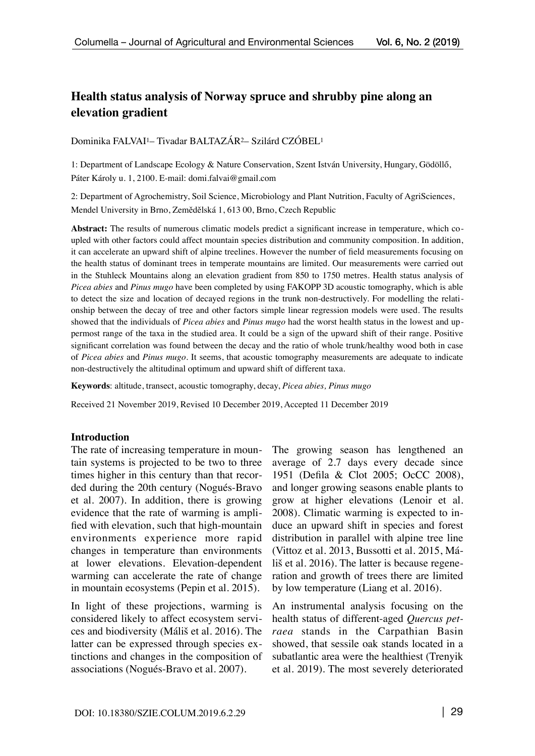# **Health status analysis of Norway spruce and shrubby pine along an elevation gradient**

Dominika FALVAI1– Tivadar BALTAZÁR2– Szilárd CZÓBEL1

1: Department of Landscape Ecology & Nature Conservation, Szent István University, Hungary, Gödöllő, Páter Károly u. 1, 2100. E-mail: [domi.falvai@gmail.com](mailto:domi.falvai@gmail.com) 

2: Department of Agrochemistry, Soil Science, Microbiology and Plant Nutrition, Faculty of AgriSciences, Mendel University in Brno, Zemědělská 1, 613 00, Brno, Czech Republic

**Abstract:** The results of numerous climatic models predict a significant increase in temperature, which coupled with other factors could affect mountain species distribution and community composition. In addition, it can accelerate an upward shift of alpine treelines. However the number of field measurements focusing on the health status of dominant trees in temperate mountains are limited. Our measurements were carried out in the Stuhleck Mountains along an elevation gradient from 850 to 1750 metres. Health status analysis of *Picea abies* and *Pinus mugo* have been completed by using FAKOPP 3D acoustic tomography, which is able to detect the size and location of decayed regions in the trunk non-destructively. For modelling the relationship between the decay of tree and other factors simple linear regression models were used. The results showed that the individuals of *Picea abies* and *Pinus mugo* had the worst health status in the lowest and uppermost range of the taxa in the studied area. It could be a sign of the upward shift of their range. Positive significant correlation was found between the decay and the ratio of whole trunk/healthy wood both in case of *Picea abies* and *Pinus mugo*. It seems, that acoustic tomography measurements are adequate to indicate non-destructively the altitudinal optimum and upward shift of different taxa.

**Keywords**: altitude, transect, acoustic tomography, decay, *Picea abies, Pinus mugo*

Received 21 November 2019, Revised 10 December 2019, Accepted 11 December 2019

### **Introduction**

The rate of increasing temperature in mountain systems is projected to be two to three times higher in this century than that recorded during the 20th century (Nogués-Bravo et al. 2007). In addition, there is growing evidence that the rate of warming is amplified with elevation, such that high-mountain environments experience more rapid changes in temperature than environments at lower elevations. Elevation-dependent warming can accelerate the rate of change in mountain ecosystems (Pepin et al. 2015).

In light of these projections, warming is considered likely to affect ecosystem services and biodiversity (Máliš et al. 2016). The latter can be expressed through species extinctions and changes in the composition of associations (Nogués-Bravo et al. 2007).

The growing season has lengthened an average of 2.7 days every decade since 1951 (Defila & Clot 2005; OcCC 2008), and longer growing seasons enable plants to grow at higher elevations (Lenoir et al. 2008). Climatic warming is expected to induce an upward shift in species and forest distribution in parallel with alpine tree line (Vittoz et al. 2013, Bussotti et al. 2015, Máliš et al. 2016). The latter is because regeneration and growth of trees there are limited by low temperature (Liang et al. 2016).

An instrumental analysis focusing on the health status of different-aged *Quercus petraea* stands in the Carpathian Basin showed, that sessile oak stands located in a subatlantic area were the healthiest (Trenyik et al. 2019). The most severely deteriorated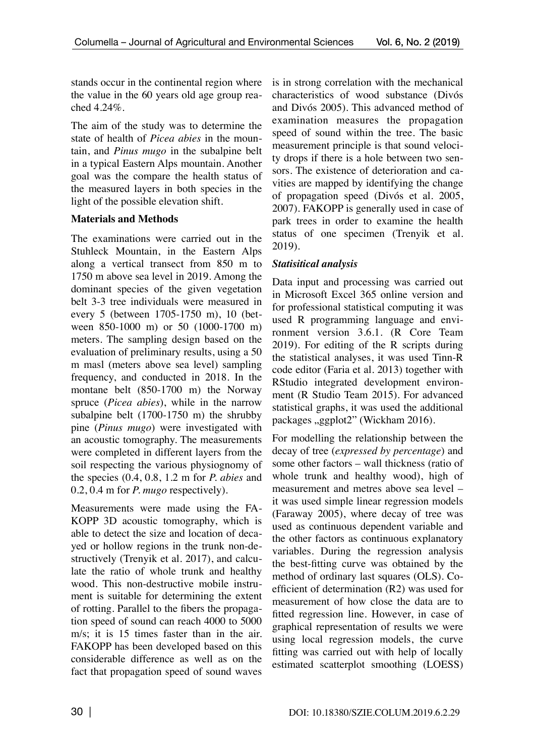stands occur in the continental region where the value in the 60 years old age group reached 4.24%.

The aim of the study was to determine the state of health of *Picea abies* in the mountain, and *Pinus mugo* in the subalpine belt in a typical Eastern Alps mountain. Another goal was the compare the health status of the measured layers in both species in the light of the possible elevation shift.

# **Materials and Methods**

The examinations were carried out in the Stuhleck Mountain, in the Eastern Alps along a vertical transect from 850 m to 1750 m above sea level in 2019. Among the dominant species of the given vegetation belt 3-3 tree individuals were measured in every 5 (between 1705-1750 m), 10 (between 850-1000 m) or 50 (1000-1700 m) meters. The sampling design based on the evaluation of preliminary results, using a 50 m masl (meters above sea level) sampling frequency, and conducted in 2018. In the montane belt (850-1700 m) the Norway spruce (*Picea abies*), while in the narrow subalpine belt (1700-1750 m) the shrubby pine (*Pinus mugo*) were investigated with an acoustic tomography. The measurements were completed in different layers from the soil respecting the various physiognomy of the species (0.4, 0.8, 1.2 m for *P. abies* and 0.2, 0.4 m for *P. mugo* respectively).

Measurements were made using the FA-KOPP 3D acoustic tomography, which is able to detect the size and location of decayed or hollow regions in the trunk non-destructively (Trenyik et al. 2017), and calculate the ratio of whole trunk and healthy wood. This non-destructive mobile instrument is suitable for determining the extent of rotting. Parallel to the fibers the propagation speed of sound can reach 4000 to 5000 m/s; it is 15 times faster than in the air. FAKOPP has been developed based on this considerable difference as well as on the fact that propagation speed of sound waves

is in strong correlation with the mechanical characteristics of wood substance (Divós and Divós 2005). This advanced method of examination measures the propagation speed of sound within the tree. The basic measurement principle is that sound velocity drops if there is a hole between two sensors. The existence of deterioration and cavities are mapped by identifying the change of propagation speed (Divós et al. 2005, 2007). FAKOPP is generally used in case of park trees in order to examine the health status of one specimen (Trenyik et al. 2019).

# *Statisitical analysis*

Data input and processing was carried out in Microsoft Excel 365 online version and for professional statistical computing it was used R programming language and environment version 3.6.1. (R Core Team 2019). For editing of the R scripts during the statistical analyses, it was used Tinn-R code editor (Faria et al. 2013) together with RStudio integrated development environment (R Studio Team 2015). For advanced statistical graphs, it was used the additional packages "ggplot2" (Wickham 2016).

For modelling the relationship between the decay of tree (*expressed by percentage*) and some other factors – wall thickness (ratio of whole trunk and healthy wood), high of measurement and metres above sea level – it was used simple linear regression models (Faraway 2005), where decay of tree was used as continuous dependent variable and the other factors as continuous explanatory variables. During the regression analysis the best-fitting curve was obtained by the method of ordinary last squares (OLS). Coefficient of determination (R2) was used for measurement of how close the data are to fitted regression line. However, in case of graphical representation of results we were using local regression models, the curve fitting was carried out with help of locally estimated scatterplot smoothing (LOESS)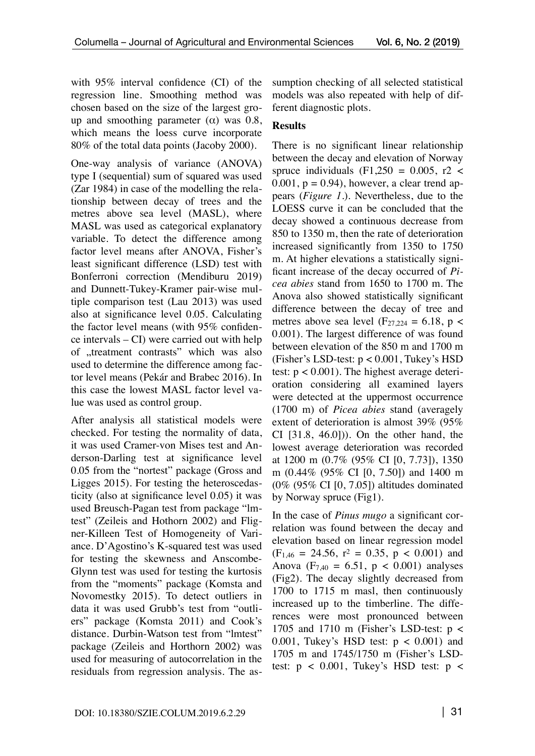with 95% interval confidence (CI) of the regression line. Smoothing method was chosen based on the size of the largest group and smoothing parameter  $(\alpha)$  was 0.8, which means the loess curve incorporate 80% of the total data points (Jacoby 2000).

One-way analysis of variance (ANOVA) type I (sequential) sum of squared was used (Zar 1984) in case of the modelling the relationship between decay of trees and the metres above sea level (MASL), where MASL was used as categorical explanatory variable. To detect the difference among factor level means after ANOVA, Fisher's least significant difference (LSD) test with Bonferroni correction (Mendiburu 2019) and Dunnett-Tukey-Kramer pair-wise multiple comparison test (Lau 2013) was used also at significance level 0.05. Calculating the factor level means (with 95% confidence intervals – CI) were carried out with help of "treatment contrasts" which was also used to determine the difference among factor level means (Pekár and Brabec 2016). In this case the lowest MASL factor level value was used as control group.

After analysis all statistical models were checked. For testing the normality of data, it was used Cramer-von Mises test and Anderson-Darling test at significance level 0.05 from the "nortest" package (Gross and Ligges 2015). For testing the heteroscedasticity (also at significance level 0.05) it was used Breusch-Pagan test from package "lmtest" (Zeileis and Hothorn 2002) and Fligner-Killeen Test of Homogeneity of Variance. D'Agostino's K-squared test was used for testing the skewness and Anscombe-Glynn test was used for testing the kurtosis from the "moments" package (Komsta and Novomestky 2015). To detect outliers in data it was used Grubb's test from "outliers" package (Komsta 2011) and Cook's distance. Durbin-Watson test from "lmtest" package (Zeileis and Horthorn 2002) was used for measuring of autocorrelation in the residuals from regression analysis. The assumption checking of all selected statistical models was also repeated with help of different diagnostic plots.

### **Results**

There is no significant linear relationship between the decay and elevation of Norway spruce individuals  $(F1,250 = 0.005, r2 <$  $0.001$ ,  $p = 0.94$ ), however, a clear trend appears (*Figure 1.*). Nevertheless, due to the LOESS curve it can be concluded that the decay showed a continuous decrease from 850 to 1350 m, then the rate of deterioration increased significantly from 1350 to 1750 m. At higher elevations a statistically significant increase of the decay occurred of *Picea abies* stand from 1650 to 1700 m. The Anova also showed statistically significant difference between the decay of tree and metres above sea level ( $F_{27,224} = 6.18$ , p < 0.001). The largest difference of was found between elevation of the 850 m and 1700 m (Fisher's LSD-test:  $p < 0.001$ , Tukey's HSD test:  $p < 0.001$ ). The highest average deterioration considering all examined layers were detected at the uppermost occurrence (1700 m) of *Picea abies* stand (averagely extent of deterioration is almost 39% (95% CI [31.8, 46.0])). On the other hand, the lowest average deterioration was recorded at 1200 m (0.7% (95% CI [0, 7.73]), 1350 m (0.44% (95% CI [0, 7.50]) and 1400 m (0% (95% CI [0, 7.05]) altitudes dominated by Norway spruce (Fig1).

In the case of *Pinus mugo* a significant correlation was found between the decay and elevation based on linear regression model  $(F<sub>1,46</sub> = 24.56, r<sup>2</sup> = 0.35, p < 0.001)$  and Anova ( $F_{7,40} = 6.51$ ,  $p < 0.001$ ) analyses (Fig2). The decay slightly decreased from 1700 to 1715 m masl, then continuously increased up to the timberline. The differences were most pronounced between 1705 and 1710 m (Fisher's LSD-test: p < 0.001, Tukey's HSD test:  $p < 0.001$ ) and 1705 m and 1745/1750 m (Fisher's LSDtest:  $p < 0.001$ , Tukey's HSD test:  $p <$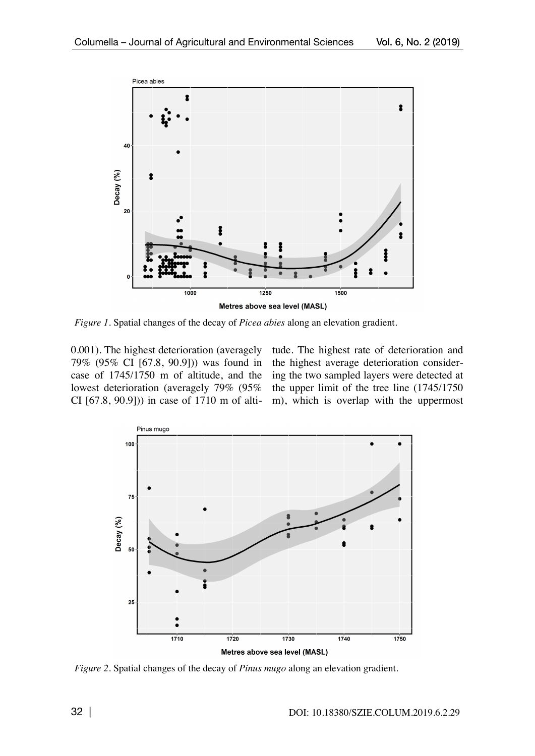

*Figure 1.* Spatial changes of the decay of *Picea abies* along an elevation gradient.

0.001). The highest deterioration (averagely 79% (95% CI [67.8, 90.9])) was found in case of 1745/1750 m of altitude, and the lowest deterioration (averagely 79% (95% CI [67.8, 90.9])) in case of 1710 m of altitude. The highest rate of deterioration and the highest average deterioration considering the two sampled layers were detected at the upper limit of the tree line (1745/1750 m), which is overlap with the uppermost



*Figure 2.* Spatial changes of the decay of *Pinus mugo* along an elevation gradient.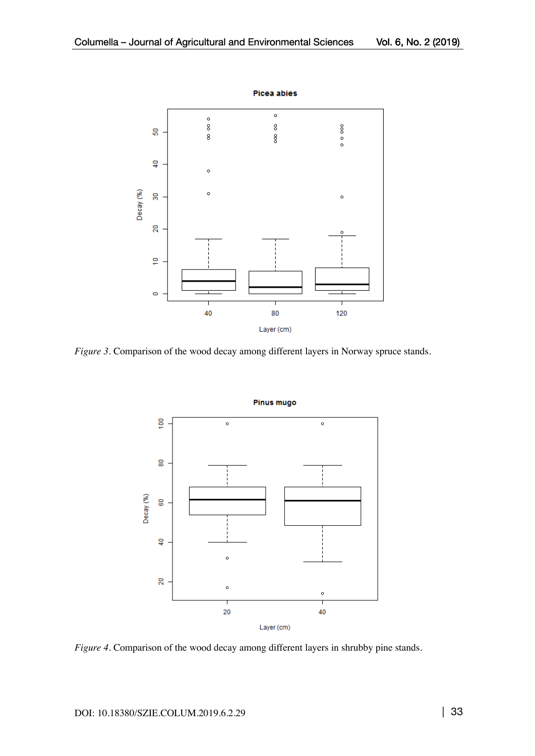

*Figure 3.* Comparison of the wood decay among different layers in Norway spruce stands.



*Figure 4.* Comparison of the wood decay among different layers in shrubby pine stands.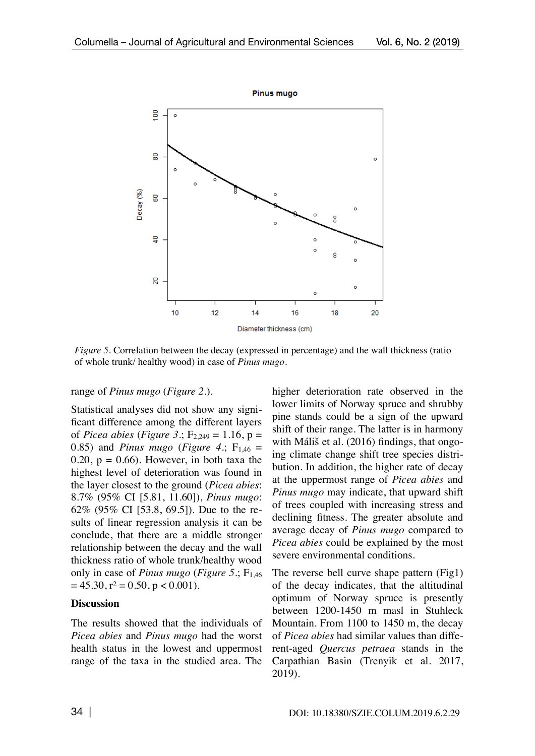

*Figure 5.* Correlation between the decay (expressed in percentage) and the wall thickness (ratio of whole trunk/ healthy wood) in case of *Pinus mugo*.

#### range of *Pinus mugo* (*Figure 2.*).

Statistical analyses did not show any significant difference among the different layers of *Picea abies* (*Figure 3*.;  $F_{2,249} = 1.16$ ,  $p =$ 0.85) and *Pinus mugo* (*Figure 4*:  $F_{1,46} =$ 0.20,  $p = 0.66$ . However, in both taxa the highest level of deterioration was found in the layer closest to the ground (*Picea abies*: 8.7% (95% CI [5.81, 11.60]), *Pinus mugo*: 62% (95% CI [53.8, 69.5]). Due to the results of linear regression analysis it can be conclude, that there are a middle stronger relationship between the decay and the wall thickness ratio of whole trunk/healthy wood only in case of *Pinus mugo* (*Figure 5*.; F<sub>1,46</sub>  $= 45.30$ ,  $r^2 = 0.50$ ,  $p < 0.001$ ).

### **Discussion**

The results showed that the individuals of *Picea abies* and *Pinus mugo* had the worst health status in the lowest and uppermost range of the taxa in the studied area. The

higher deterioration rate observed in the lower limits of Norway spruce and shrubby pine stands could be a sign of the upward shift of their range. The latter is in harmony with Máliš et al. (2016) findings, that ongoing climate change shift tree species distribution. In addition, the higher rate of decay at the uppermost range of *Picea abies* and *Pinus mugo* may indicate, that upward shift of trees coupled with increasing stress and declining fitness. The greater absolute and average decay of *Pinus mugo* compared to *Picea abies* could be explained by the most severe environmental conditions.

The reverse bell curve shape pattern (Fig1) of the decay indicates, that the altitudinal optimum of Norway spruce is presently between 1200-1450 m masl in Stuhleck Mountain. From 1100 to 1450 m, the decay of *Picea abies* had similar values than different-aged *Quercus petraea* stands in the Carpathian Basin (Trenyik et al. 2017, 2019).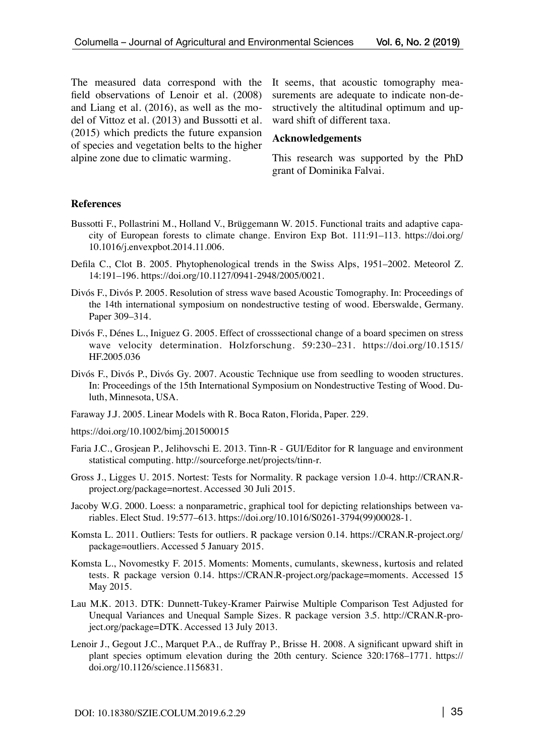The measured data correspond with the field observations of Lenoir et al. (2008) and Liang et al. (2016), as well as the model of Vittoz et al. (2013) and Bussotti et al. (2015) which predicts the future expansion of species and vegetation belts to the higher alpine zone due to climatic warming.

It seems, that acoustic tomography measurements are adequate to indicate non-destructively the altitudinal optimum and upward shift of different taxa.

#### **Acknowledgements**

This research was supported by the PhD grant of Dominika Falvai.

#### **References**

- Bussotti F., Pollastrini M., Holland V., Brüggemann W. 2015. Functional traits and adaptive capacity of European forests to climate change. Environ Exp Bot. 111:91–113. https://doi.org/ 10.1016/j.envexpbot.2014.11.006.
- Defila C., Clot B. 2005. Phytophenological trends in the Swiss Alps, 1951–2002. Meteorol Z. 14:191–196. https://doi.org/10.1127/0941-2948/2005/0021.
- Divós F., Divós P. 2005. Resolution of stress wave based Acoustic Tomography. In: Proceedings of the 14th international symposium on nondestructive testing of wood. Eberswalde, Germany. Paper 309–314.
- Divós F., Dénes L., Iniguez G. 2005. Effect of crosssectional change of a board specimen on stress wave velocity determination. Holzforschung. 59:230–231. https://doi.org/10.1515/ HF.2005.036
- Divós F., Divós P., Divós Gy. 2007. Acoustic Technique use from seedling to wooden structures. In: Proceedings of the 15th International Symposium on Nondestructive Testing of Wood. Duluth, Minnesota, USA.
- Faraway J.J. 2005. Linear Models with R. Boca Raton, Florida, Paper. 229.
- https://doi.org/10.1002/bimj.201500015
- Faria J.C., Grosjean P., Jelihovschi E. 2013. Tinn-R GUI/Editor for R language and environment statistical computing. http://sourceforge.net/projects/tinn-r.
- Gross J., Ligges U. 2015. Nortest: Tests for Normality. R package version 1.0-4. http://CRAN.Rproject.org/package=nortest. Accessed 30 Juli 2015.
- Jacoby W.G. 2000. Loess: a nonparametric, graphical tool for depicting relationships between variables. Elect Stud. 19:577–613. https://doi.org/10.1016/S0261-3794(99)00028-1.
- Komsta L. 2011. Outliers: Tests for outliers. R package version 0.14. https://CRAN.R-project.org/ package=outliers. Accessed 5 January 2015.
- Komsta L., Novomestky F. 2015. Moments: Moments, cumulants, skewness, kurtosis and related tests. R package version 0.14. https://CRAN.R-project.org/package=moments. Accessed 15 May 2015.
- Lau M.K. 2013. DTK: Dunnett-Tukey-Kramer Pairwise Multiple Comparison Test Adjusted for Unequal Variances and Unequal Sample Sizes. R package version 3.5. http://CRAN.R-project.org/package=DTK. Accessed 13 July 2013.
- Lenoir J., Gegout J.C., Marquet P.A., de Ruffray P., Brisse H. 2008. A significant upward shift in plant species optimum elevation during the 20th century. Science 320:1768–1771. https:// doi.org/10.1126/science.1156831.